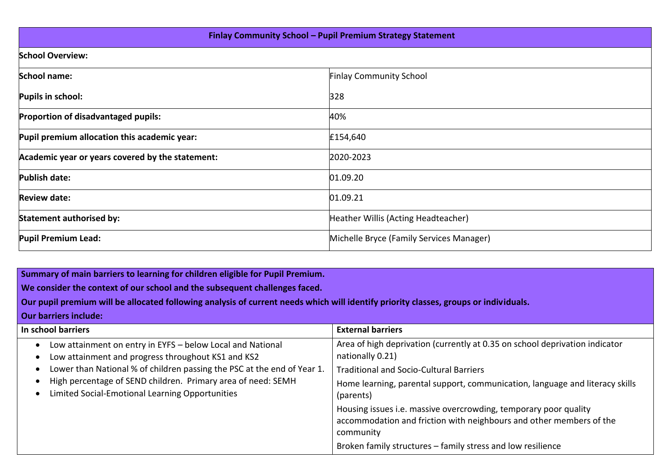| Finlay Community School - Pupil Premium Strategy Statement |                                          |  |  |  |  |
|------------------------------------------------------------|------------------------------------------|--|--|--|--|
| <b>School Overview:</b>                                    |                                          |  |  |  |  |
| <b>School name:</b>                                        | <b>Finlay Community School</b>           |  |  |  |  |
| Pupils in school:                                          | 328                                      |  |  |  |  |
| Proportion of disadvantaged pupils:                        | 40%                                      |  |  |  |  |
| Pupil premium allocation this academic year:               | £154,640                                 |  |  |  |  |
| Academic year or years covered by the statement:           | 2020-2023                                |  |  |  |  |
| <b>Publish date:</b>                                       | 01.09.20                                 |  |  |  |  |
| <b>Review date:</b>                                        | 01.09.21                                 |  |  |  |  |
| Statement authorised by:                                   | Heather Willis (Acting Headteacher)      |  |  |  |  |
| <b>Pupil Premium Lead:</b>                                 | Michelle Bryce (Family Services Manager) |  |  |  |  |

**Summary of main barriers to learning for children eligible for Pupil Premium.** 

**We consider the context of our school and the subsequent challenges faced.** 

**Our pupil premium will be allocated following analysis of current needs which will identify priority classes, groups or individuals.** 

**Our barriers include:**

| In school barriers                                                                                               | <b>External barriers</b>                                                                                                                             |
|------------------------------------------------------------------------------------------------------------------|------------------------------------------------------------------------------------------------------------------------------------------------------|
| Low attainment on entry in EYFS - below Local and National<br>Low attainment and progress throughout KS1 and KS2 | Area of high deprivation (currently at 0.35 on school deprivation indicator<br>nationally 0.21)                                                      |
| Lower than National % of children passing the PSC at the end of Year 1.                                          | <b>Traditional and Socio-Cultural Barriers</b>                                                                                                       |
| High percentage of SEND children. Primary area of need: SEMH<br>Limited Social-Emotional Learning Opportunities  | Home learning, parental support, communication, language and literacy skills<br>(parents)                                                            |
|                                                                                                                  | Housing issues i.e. massive overcrowding, temporary poor quality<br>accommodation and friction with neighbours and other members of the<br>community |
|                                                                                                                  | Broken family structures - family stress and low resilience                                                                                          |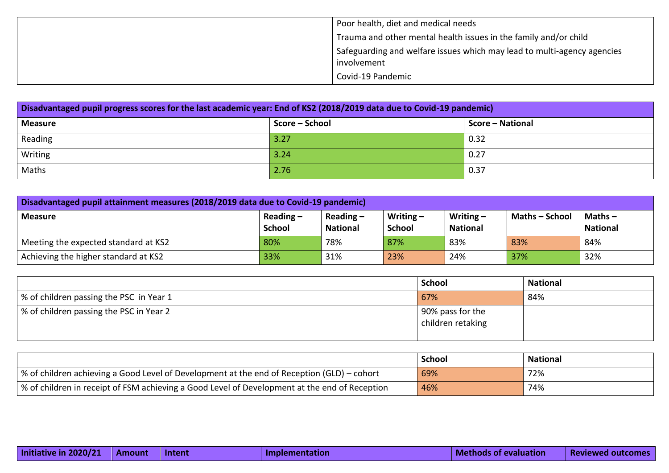| Poor health, diet and medical needs                                                    |
|----------------------------------------------------------------------------------------|
| Trauma and other mental health issues in the family and/or child                       |
| Safeguarding and welfare issues which may lead to multi-agency agencies<br>involvement |
| Covid-19 Pandemic                                                                      |

| Disadvantaged pupil progress scores for the last academic year: End of KS2 (2018/2019 data due to Covid-19 pandemic) |      |      |  |  |  |
|----------------------------------------------------------------------------------------------------------------------|------|------|--|--|--|
| Score – School<br>Score - National<br><b>Measure</b>                                                                 |      |      |  |  |  |
| Reading                                                                                                              | 3.27 | 0.32 |  |  |  |
| Writing                                                                                                              | 3.24 | 0.27 |  |  |  |
| Maths                                                                                                                | 2.76 | 0.37 |  |  |  |

| Disadvantaged pupil attainment measures (2018/2019 data due to Covid-19 pandemic)                                                                                                               |     |     |     |     |     |     |  |
|-------------------------------------------------------------------------------------------------------------------------------------------------------------------------------------------------|-----|-----|-----|-----|-----|-----|--|
| Writing $-$<br><b>Maths - School</b><br>Reading $-$<br>Writing $-$<br>Reading $-$<br>Maths $-$<br>  Measure<br><b>School</b><br><b>National</b><br>School<br><b>National</b><br><b>National</b> |     |     |     |     |     |     |  |
| Meeting the expected standard at KS2                                                                                                                                                            | 80% | 78% | 87% | 83% | 83% | 84% |  |
| Achieving the higher standard at KS2                                                                                                                                                            | 33% | 31% | 23% | 24% | 37% | 32% |  |

|                                         | <b>School</b>                         | <b>National</b> |
|-----------------------------------------|---------------------------------------|-----------------|
| % of children passing the PSC in Year 1 | 67%                                   | 84%             |
| % of children passing the PSC in Year 2 | 90% pass for the<br>children retaking |                 |

|                                                                                                   | <b>School</b> | <b>National</b> |
|---------------------------------------------------------------------------------------------------|---------------|-----------------|
| $\mid$ % of children achieving a Good Level of Development at the end of Reception (GLD) – cohort | 69%           | 72%             |
| │ % of children in receipt of FSM achieving a Good Level of Development at the end of Reception   | 46%           | 74%             |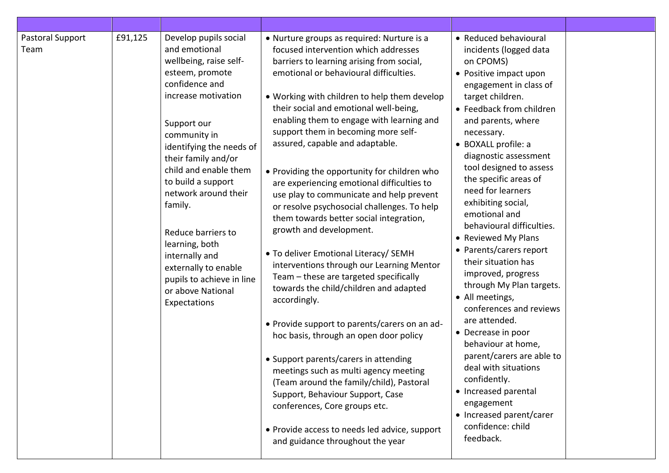| Pastoral Support<br>Team | £91,125 | Develop pupils social<br>and emotional<br>wellbeing, raise self-<br>esteem, promote<br>confidence and<br>increase motivation<br>Support our<br>community in<br>identifying the needs of<br>their family and/or<br>child and enable them<br>to build a support<br>network around their<br>family.<br>Reduce barriers to<br>learning, both<br>internally and<br>externally to enable<br>pupils to achieve in line<br>or above National<br>Expectations | • Nurture groups as required: Nurture is a<br>focused intervention which addresses<br>barriers to learning arising from social,<br>emotional or behavioural difficulties.<br>• Working with children to help them develop<br>their social and emotional well-being,<br>enabling them to engage with learning and<br>support them in becoming more self-<br>assured, capable and adaptable.<br>• Providing the opportunity for children who<br>are experiencing emotional difficulties to<br>use play to communicate and help prevent<br>or resolve psychosocial challenges. To help<br>them towards better social integration,<br>growth and development.<br>• To deliver Emotional Literacy/ SEMH<br>interventions through our Learning Mentor<br>Team - these are targeted specifically<br>towards the child/children and adapted<br>accordingly.<br>• Provide support to parents/carers on an ad-<br>hoc basis, through an open door policy<br>• Support parents/carers in attending<br>meetings such as multi agency meeting<br>(Team around the family/child), Pastoral<br>Support, Behaviour Support, Case<br>conferences, Core groups etc.<br>• Provide access to needs led advice, support<br>and guidance throughout the year | • Reduced behavioural<br>incidents (logged data<br>on CPOMS)<br>• Positive impact upon<br>engagement in class of<br>target children.<br>• Feedback from children<br>and parents, where<br>necessary.<br>• BOXALL profile: a<br>diagnostic assessment<br>tool designed to assess<br>the specific areas of<br>need for learners<br>exhibiting social,<br>emotional and<br>behavioural difficulties.<br>• Reviewed My Plans<br>• Parents/carers report<br>their situation has<br>improved, progress<br>through My Plan targets.<br>• All meetings,<br>conferences and reviews<br>are attended.<br>• Decrease in poor<br>behaviour at home,<br>parent/carers are able to<br>deal with situations<br>confidently.<br>• Increased parental<br>engagement<br>• Increased parent/carer<br>confidence: child<br>feedback. |  |
|--------------------------|---------|------------------------------------------------------------------------------------------------------------------------------------------------------------------------------------------------------------------------------------------------------------------------------------------------------------------------------------------------------------------------------------------------------------------------------------------------------|----------------------------------------------------------------------------------------------------------------------------------------------------------------------------------------------------------------------------------------------------------------------------------------------------------------------------------------------------------------------------------------------------------------------------------------------------------------------------------------------------------------------------------------------------------------------------------------------------------------------------------------------------------------------------------------------------------------------------------------------------------------------------------------------------------------------------------------------------------------------------------------------------------------------------------------------------------------------------------------------------------------------------------------------------------------------------------------------------------------------------------------------------------------------------------------------------------------------------------------|------------------------------------------------------------------------------------------------------------------------------------------------------------------------------------------------------------------------------------------------------------------------------------------------------------------------------------------------------------------------------------------------------------------------------------------------------------------------------------------------------------------------------------------------------------------------------------------------------------------------------------------------------------------------------------------------------------------------------------------------------------------------------------------------------------------|--|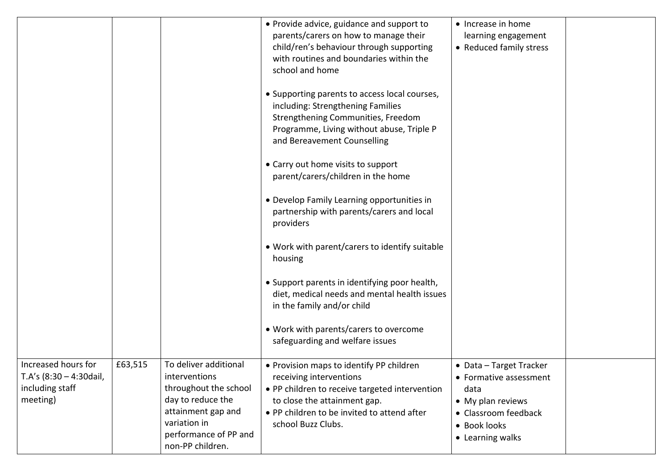|                                                                                  |         |                                                                                                                                                                                | • Provide advice, guidance and support to<br>parents/carers on how to manage their<br>child/ren's behaviour through supporting<br>with routines and boundaries within the<br>school and home                               | • Increase in home<br>learning engagement<br>• Reduced family stress                                                                       |  |
|----------------------------------------------------------------------------------|---------|--------------------------------------------------------------------------------------------------------------------------------------------------------------------------------|----------------------------------------------------------------------------------------------------------------------------------------------------------------------------------------------------------------------------|--------------------------------------------------------------------------------------------------------------------------------------------|--|
|                                                                                  |         |                                                                                                                                                                                | • Supporting parents to access local courses,<br>including: Strengthening Families<br>Strengthening Communities, Freedom<br>Programme, Living without abuse, Triple P<br>and Bereavement Counselling                       |                                                                                                                                            |  |
|                                                                                  |         |                                                                                                                                                                                | • Carry out home visits to support<br>parent/carers/children in the home                                                                                                                                                   |                                                                                                                                            |  |
|                                                                                  |         |                                                                                                                                                                                | • Develop Family Learning opportunities in<br>partnership with parents/carers and local<br>providers                                                                                                                       |                                                                                                                                            |  |
|                                                                                  |         |                                                                                                                                                                                | • Work with parent/carers to identify suitable<br>housing                                                                                                                                                                  |                                                                                                                                            |  |
|                                                                                  |         |                                                                                                                                                                                | • Support parents in identifying poor health,<br>diet, medical needs and mental health issues<br>in the family and/or child                                                                                                |                                                                                                                                            |  |
|                                                                                  |         |                                                                                                                                                                                | • Work with parents/carers to overcome<br>safeguarding and welfare issues                                                                                                                                                  |                                                                                                                                            |  |
| Increased hours for<br>T.A's $(8:30 - 4:30$ dail,<br>including staff<br>meeting) | £63,515 | To deliver additional<br><i>interventions</i><br>throughout the school<br>day to reduce the<br>attainment gap and<br>variation in<br>performance of PP and<br>non-PP children. | • Provision maps to identify PP children<br>receiving interventions<br>• PP children to receive targeted intervention<br>to close the attainment gap.<br>• PP children to be invited to attend after<br>school Buzz Clubs. | • Data - Target Tracker<br>• Formative assessment<br>data<br>• My plan reviews<br>• Classroom feedback<br>• Book looks<br>• Learning walks |  |